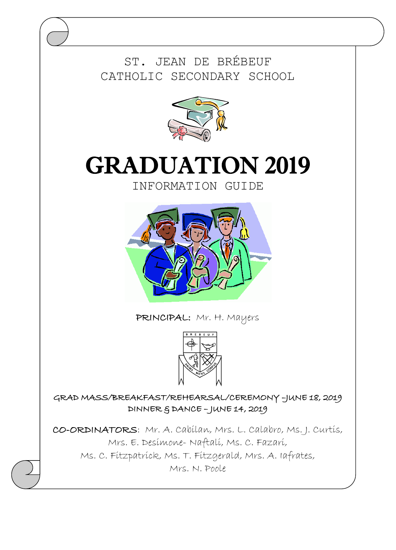ST. JEAN DE BRÉBEUF CATHOLIC SECONDARY SCHOOL



# GRADUATION 2019

INFORMATION GUIDE



PRINCIPAL: Mr. H. Mayers



GRAD MASS/BREAKFAST/REHEARSAL/CEREMONY –JUNE 18, 2019 DINNER & DANCE – JUNE 14, 2019

CO-ORDINATORS: Mr. A. Cabilan, Mrs. L. Calabro, Ms. J. Curtis, Mrs. E. Desimone- Naftali, Ms. C. Fazari, Ms. C. Fitzpatrick, Ms. T. Fitzgerald, Mrs. A. Iafrates, Mrs. N. Poole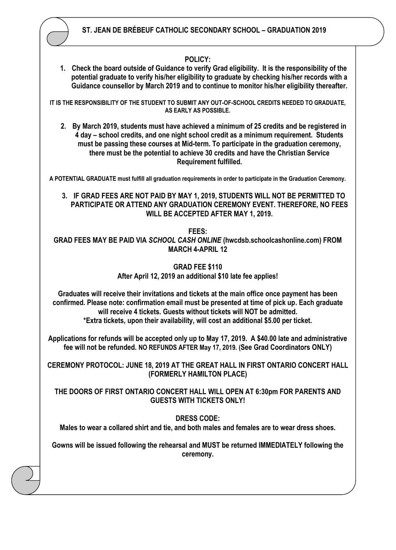

## **POLICY:**

**1. Check the board outside of Guidance to verify Grad eligibility. It is the responsibility of the potential graduate to verify his/her eligibility to graduate by checking his/her records with a Guidance counsellor by March 2019 and to continue to monitor his/her eligibility thereafter.**

**IT IS THE RESPONSIBILITY OF THE STUDENT TO SUBMIT ANY OUT-OF-SCHOOL CREDITS NEEDED TO GRADUATE, AS EARLY AS POSSIBLE.**

**2. By March 2019, students must have achieved a minimum of 25 credits and be registered in 4 day – school credits, and one night school credit as a minimum requirement. Students must be passing these courses at Mid-term. To participate in the graduation ceremony, there must be the potential to achieve 30 credits and have the Christian Service Requirement fulfilled.**

**A POTENTIAL GRADUATE must fulfill all graduation requirements in order to participate in the Graduation Ceremony.**

**3. IF GRAD FEES ARE NOT PAID BY MAY 1, 2019, STUDENTS WILL NOT BE PERMITTED TO PARTICIPATE OR ATTEND ANY GRADUATION CEREMONY EVENT. THEREFORE, NO FEES WILL BE ACCEPTED AFTER MAY 1, 2019.** 

**FEES:**

**GRAD FEES MAY BE PAID VIA** *SCHOOL CASH ONLINE* **(hwcdsb.schoolcashonline.com) FROM MARCH 4-APRIL 12**

> **GRAD FEE \$110 After April 12, 2019 an additional \$10 late fee applies!**

**Graduates will receive their invitations and tickets at the main office once payment has been confirmed. Please note: confirmation email must be presented at time of pick up. Each graduate will receive 4 tickets. Guests without tickets will NOT be admitted. \*Extra tickets, upon their availability, will cost an additional \$5.00 per ticket.** 

**Applications for refunds will be accepted only up to May 17, 2019. A \$40.00 late and administrative fee will not be refunded. NO REFUNDS AFTER May 17, 2019. (See Grad Coordinators ONLY)**

**CEREMONY PROTOCOL: JUNE 18, 2019 AT THE GREAT HALL IN FIRST ONTARIO CONCERT HALL (FORMERLY HAMILTON PLACE)**

**THE DOORS OF FIRST ONTARIO CONCERT HALL WILL OPEN AT 6:30pm FOR PARENTS AND GUESTS WITH TICKETS ONLY!**

**DRESS CODE:**

**Males to wear a collared shirt and tie, and both males and females are to wear dress shoes.**

**Gowns will be issued following the rehearsal and MUST be returned IMMEDIATELY following the ceremony.**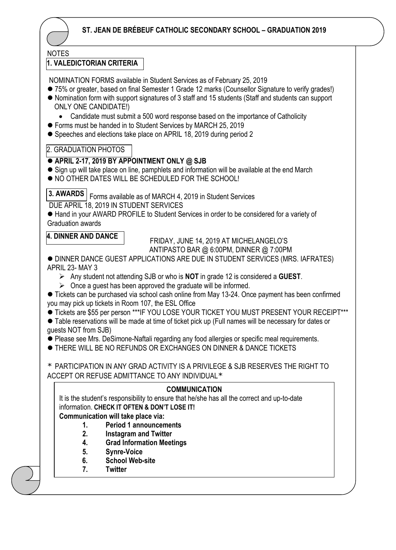

## NOTES

## **1. VALEDICTORIAN CRITERIA**

NOMINATION FORMS available in Student Services as of February 25, 2019

- 75% or greater, based on final Semester 1 Grade 12 marks (Counsellor Signature to verify grades!)
- ⚫ Nomination form with support signatures of 3 staff and 15 students (Staff and students can support ONLY ONE CANDIDATE!)
	- Candidate must submit a 500 word response based on the importance of Catholicity
- Forms must be handed in to Student Services by MARCH 25, 2019
- Speeches and elections take place on APRIL 18, 2019 during period 2

#### $\overline{a}$ 2. GRADUATION PHOTOS

## ⚫ **APRIL 2-17, 2019 BY APPOINTMENT ONLY @ SJB**

- Sign up will take place on line, pamphlets and information will be available at the end March
- ⚫ NO OTHER DATES WILL BE SCHEDULED FOR THE SCHOOL!

**3. AWARDS** Forms available as of MARCH 4, 2019 in Student Services

DUE APRIL 18, 2019 IN STUDENT SERVICES

● Hand in your AWARD PROFILE to Student Services in order to be considered for a variety of Graduation awards

## **4. DINNER AND DANCE**

 FRIDAY, JUNE 14, 2019 AT MICHELANGELO'S ANTIPASTO BAR @ 6:00PM, DINNER @ 7:00PM

⚫ DINNER DANCE GUEST APPLICATIONS ARE DUE IN STUDENT SERVICES (MRS. IAFRATES) APRIL 23- MAY 3

- ➢ Any student not attending SJB or who is **NOT** in grade 12 is considered a **GUEST**.
- $\triangleright$  Once a quest has been approved the graduate will be informed.

● Tickets can be purchased via school cash online from May 13-24. Once payment has been confirmed you may pick up tickets in Room 107, the ESL Office

- ⚫ Tickets are \$55 per person \*\*\*IF YOU LOSE YOUR TICKET YOU MUST PRESENT YOUR RECEIPT\*\*\*
- ⚫ Table reservations will be made at time of ticket pick up (Full names will be necessary for dates or guests NOT from SJB)

⚫ Please see Mrs. DeSimone-Naftali regarding any food allergies or specific meal requirements.

⚫ THERE WILL BE NO REFUNDS OR EXCHANGES ON DINNER & DANCE TICKETS

\* PARTICIPATION IN ANY GRAD ACTIVITY IS A PRIVILEGE & SJB RESERVES THE RIGHT TO ACCEPT OR REFUSE ADMITTANCE TO ANY INDIVIDUAL\*

## **COMMUNICATION**

It is the student's responsibility to ensure that he/she has all the correct and up-to-date information. **CHECK IT OFTEN & DON'T LOSE IT!**

**Communication will take place via:**

- **1. Period 1 announcements**
- **2. Instagram and Twitter**
- **4. Grad Information Meetings**
- **5. Synre-Voice**
- **6. School Web-site**
- **7. Twitter**